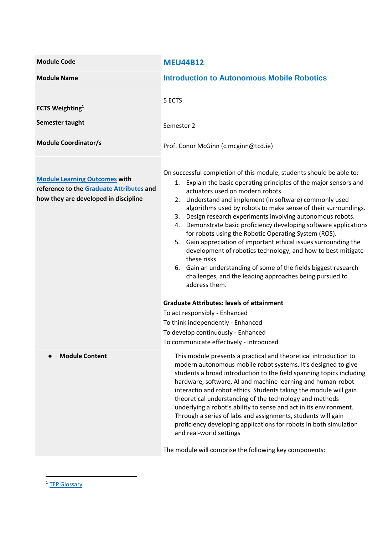| <b>Module Code</b>                                                                                                       | <b>MEU44B12</b>                                                                                                                                                                                                                                                                                                                                                                                                                                                                                                                                                                                                                                                                                                                                                                                                     |  |
|--------------------------------------------------------------------------------------------------------------------------|---------------------------------------------------------------------------------------------------------------------------------------------------------------------------------------------------------------------------------------------------------------------------------------------------------------------------------------------------------------------------------------------------------------------------------------------------------------------------------------------------------------------------------------------------------------------------------------------------------------------------------------------------------------------------------------------------------------------------------------------------------------------------------------------------------------------|--|
| <b>Module Name</b>                                                                                                       | <b>Introduction to Autonomous Mobile Robotics</b>                                                                                                                                                                                                                                                                                                                                                                                                                                                                                                                                                                                                                                                                                                                                                                   |  |
| <b>ECTS Weighting</b> <sup>1</sup><br>Semester taught                                                                    | 5 ECTS<br>Semester 2                                                                                                                                                                                                                                                                                                                                                                                                                                                                                                                                                                                                                                                                                                                                                                                                |  |
| <b>Module Coordinator/s</b>                                                                                              | Prof. Conor McGinn (c.mcginn@tcd.ie)                                                                                                                                                                                                                                                                                                                                                                                                                                                                                                                                                                                                                                                                                                                                                                                |  |
| <b>Module Learning Outcomes with</b><br>reference to the Graduate Attributes and<br>how they are developed in discipline | On successful completion of this module, students should be able to:<br>1. Explain the basic operating principles of the major sensors and<br>actuators used on modern robots.<br>2. Understand and implement (in software) commonly used<br>algorithms used by robots to make sense of their surroundings.<br>Design research experiments involving autonomous robots.<br>3.<br>Demonstrate basic proficiency developing software applications<br>4.<br>for robots using the Robotic Operating System (ROS).<br>Gain appreciation of important ethical issues surrounding the<br>5.<br>development of robotics technology, and how to best mitigate<br>these risks.<br>6. Gain an understanding of some of the fields biggest research<br>challenges, and the leading approaches being pursued to<br>address them. |  |
|                                                                                                                          | <b>Graduate Attributes: levels of attainment</b><br>To act responsibly - Enhanced<br>To think independently - Enhanced<br>To develop continuously - Enhanced<br>To communicate effectively - Introduced                                                                                                                                                                                                                                                                                                                                                                                                                                                                                                                                                                                                             |  |
| <b>Module Content</b>                                                                                                    | This module presents a practical and theoretical introduction to<br>modern autonomous mobile robot systems. It's designed to give<br>students a broad introduction to the field spanning topics including<br>hardware, software, AI and machine learning and human-robot<br>interactio and robot ethics. Students taking the module will gain<br>theoretical understanding of the technology and methods<br>underlying a robot's ability to sense and act in its environment.<br>Through a series of labs and assignments, students will gain<br>proficiency developing applications for robots in both simulation<br>and real-world settings<br>The module will comprise the following key components:                                                                                                             |  |

1